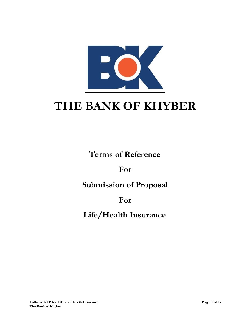

# **THE BANK OF KHYBER**

**Terms of Reference**

**For** 

**Submission of Proposal** 

# **For**

# **Life/Health Insurance**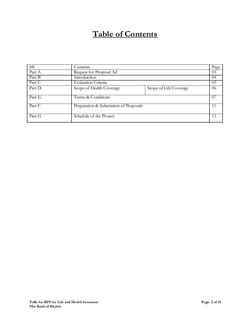# **Table of Contents**

| S#      | Contents                              |                        | Page |
|---------|---------------------------------------|------------------------|------|
| Part A  | Request for Proposal Ad               |                        | 03   |
| Part B  | Introduction                          |                        | 04   |
| Part C  | Evaluation Criteria                   |                        | 05   |
| Part D  | Scope of Health Coverage              | Scope of Life Coverage | 06   |
| Part E: | Terms & Conditions                    |                        | (1)7 |
| Part F  | Preparation & Submission of Proposals |                        | 11   |
| Part G  | Schedule of the Project               |                        | 13   |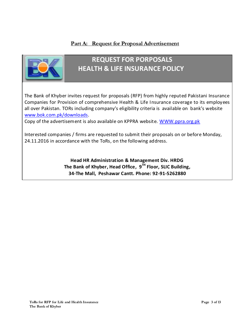### **Part A: Request for Proposal Advertisement**



# **REQUEST FOR PORPOSALS HEALTH & LIFE INSURANCE POLICY**

The Bank of Khyber invites request for proposals (RFP) from highly reputed Pakistani Insurance Companies for Provision of comprehensive Health & Life Insurance coverage to its employees all over Pakistan. TORs including company's eligibility criteria is available on bank's website [www.bok.com.pk/downloads.](http://www.bok.com.pk/downloads)

Copy of the advertisement is also available on KPPRA website. [WWW.ppra.org.pk](http://www.ppra.org.pk/)

Interested companies / firms are requested to submit their proposals on or before Monday, 24.11.2016 in accordance with the ToRs, on the following address.

> **Head HR Administration & Management Div. HRDG The Bank of Khyber, Head Office, 9 TH Floor, SLIC Building, 34-The Mall, Peshawar Cantt. Phone: 92-91-5262880**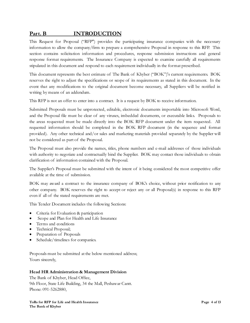### **Part. B INTRODUCTION**

This Request for Proposal ("RFP") provides the participating insurance companies with the necessary information to allow the company/firm to prepare a comprehensive Proposal in response to this RFP. This section contains solicitation information and procedures, response submission instructions and general response format requirements. The Insurance Company is expected to examine carefully all requirements stipulated in this document and respond to each requirement individually in the format prescribed.

This document represents the best estimate of The Bank of Khyber ("BOK")'s current requirements. BOK reserves the right to adjust the specifications or scope of its requirements as stated in this document. In the event that any modifications to the original document become necessary, all Suppliers will be notified in writing by means of an addendum.

This RFP is not an offer to enter into a contract. It is a request by BOK to receive information.

Submitted Proposals must be unprotected, editable, electronic documents importable into Microsoft Word, and the Proposal file must be clear of any viruses, imbedded documents, or executable links. Proposals to the areas requested must be made directly into the BOK RFP document under the item requested. All requested information should be completed in the BOK RFP document (in the sequence and format provided). Any other technical and/or sales and marketing materials provided separately by the Supplier will not be considered as part of the Proposal.

The Proposal must also provide the names, titles, phone numbers and e-mail addresses of those individuals with authority to negotiate and contractually bind the Supplier. BOK may contact those individuals to obtain clarification of information contained with the Proposal.

The Supplier's Proposal must be submitted with the intent of it being considered the most competitive offer available at the time of submission.

BOK may award a contract to the insurance company of BOK's choice, without prior notification to any other company. BOK reserves the right to accept or reject any or all Proposal(s) in response to this RFP even if all of the stated requirements are met.

This Tender Document includes the following Sections:

- Criteria for Evaluation & participation
- Scope and Plan for Health and Life Insurance
- Terms and conditions
- Technical Proposal;
- Preparation of Proposals
- Schedule/timelines for companies.

Proposals must be submitted at the below mentioned address; Yours sincerely,

#### **Head HR Administration & Management Division**

The Bank of Khyber, Head Office, 9th Floor, State Life Building, 34 the Mall, Peshawar Cantt. Phone: 091-5262880,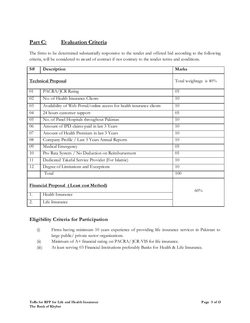## **Part C: Evaluation Criteria**

The firms to be determined substantially responsive to the tender and offered bid according to the following criteria, will be considered to award of contract if not contrary to the tender terms and conditions.

| S#                                            | Description                                                           | <b>Marks</b>           |
|-----------------------------------------------|-----------------------------------------------------------------------|------------------------|
|                                               | <b>Technical Proposal</b>                                             | Total weightage is 40% |
| 01                                            | PACRA/JCR Rating                                                      | 05                     |
| 02                                            | No. of Health Insurance Clients                                       | 10                     |
| 03                                            | Availability of Web Portal/online access for health insurance clients | 10                     |
| 04                                            | 24 hours customer support                                             | 05                     |
| 05                                            | No. of Panel Hospitals throughout Pakistan                            | 10                     |
| 06                                            | Amount of IPD claims paid in last 3 Years                             | 10                     |
| $\overline{07}$                               | Amount of Health Premium in last 3 Years                              | 10                     |
| 08                                            | Company Profile / Last 3 Years Annual Reports                         | 10                     |
| 09                                            | Medical Emergency                                                     | 05                     |
| 10                                            | Pro Rata System / No Deduction on Reimbursement                       | 05                     |
| 11                                            | Dedicated Takaful Service Provider (For Islamic)                      | 10                     |
| 12                                            | Degree of Limitations and Exceptions                                  | 10                     |
|                                               | Total                                                                 | 100                    |
| <b>Financial Proposal (Least cost Method)</b> |                                                                       | 60%                    |
| 1.                                            | Health Insurance                                                      |                        |
| 2.                                            | Life Insurance                                                        |                        |

#### **Eligibility Criteria for Participation**

- (i) Firms having minimum 10 years experience of providing life insurance services in Pakistan to large public/ private sector organizations.
- (ii) Minimum of A+ financial rating on PACRA/ JCR-VIS for life insurance.
- (iii) At least serving 03 Financial Institutions preferably Banks for Health & Life Insurance.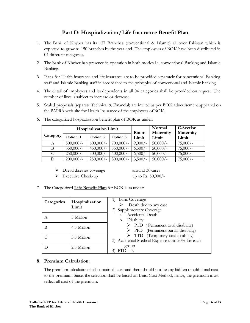### **Part D: Hospitalization/Life Insurance Benefit Plan**

- 1. The Bank of Khyber has its 137 Branches (conventional & Islamic) all over Pakistan which is expected to grow to 150 branches by the year end. The employees of BOK have been distributed in 04 different categories.
- 2. The Bank of Khyber has presence in operation in both modes i.e. conventional Banking and Islamic Banking.
- 3. Plans for Health insurance and life insurance are to be provided separately for conventional Banking staff and Islamic Banking staff in accordance to the principles of conventional and Islamic banking.
- 4. The detail of employees and its dependents in all 04 categories shall be provided on request. The number of lives is subject to increase or decrease.
- 5. Sealed proposals (separate Technical & Financial) are invited as per BOK advertisement appeared on the PAPRA web site for Health Insurance of the employees of BOK.

|          | Hospitalization Limit |             |             | Room      | Normal<br>Maternity | <b>C-Section</b><br>Maternity |
|----------|-----------------------|-------------|-------------|-----------|---------------------|-------------------------------|
| Category | Option.1              | Option. 2   | Option.3    | Limit     | Limit               | Limit                         |
|          | $500,000/-$           | 600,000/    | $700,000/-$ | $9,000/-$ | $50,000/$ -         | $75,000/-$                    |
| B        | $350,000/-$           | $450,000/-$ | $550,000/-$ | 6,500/    | $50,000/$ -         | $75,000/-$                    |
| C        | 250,000/              | $300,000/-$ | $400,000/-$ | 6,500/    | $50,000/$ -         | $75,000/-$                    |
| D        | $200,000/-$           | $250,000/-$ | $300,000/-$ | 3,500/    | $50,000/$ -         | $75,000/-$                    |

6. The categorized hospitalization benefit plan of BOK as under:

▶ Dread diseases coverage around 30 cases

Executive Check-up up to Rs.  $50,000/$ -

7. The Categorized **Life Benefit Plan** for BOK is as under:

| Categories | Hospitalization<br>Limit | 1) Basic Coverage<br>Death due to any case<br>2) Supplementary Coverage                                  |
|------------|--------------------------|----------------------------------------------------------------------------------------------------------|
| A          | 5 Million                | a. Accidental Death<br>b. Disability                                                                     |
| В          | 4.5 Million              | $\triangleright$ PTD (Permanent total disability)<br>$\triangleright$ PPD (Permanent partial disability) |
|            | 3.5 Million              | > TTD (Temporary total disability)<br>3) Accidental Medical Expense upto 20% for each                    |
|            | 2.5 Million              | group<br>PTD – N                                                                                         |

#### **8. Premium Calculation:**

The premium calculation shall contain all cost and there should not be any hidden or additional cost to the premium. Since, the selection shall be based on Least Cost Method, hence, the premium must reflect all cost of the premium.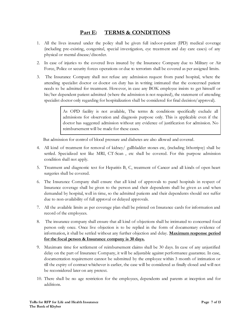### **Part E: TERMS & CONDITIONS**

- 1. All the lives insured under the policy shall be given full indoor-patient (IPD) medical coverage (including pre-existing, congenital, special investigation, eye treatment and day care cases) of any physical or mental disease/disorder.
- 2. In case of injuries to the covered lives insured by the Insurance Company due to Military or Air Force, Police or security forces operations or due to terrorism shall be covered as per assigned limits.
- 3. The Insurance Company shall not refuse any admission request from panel hospital, where the attending specialist doctor or doctor on duty has in writing intimated that the concerned patient needs to be admitted for treatment. However, in case any BOK employee insists to get himself or his/her dependent patient admitted (where the admission is not required), the statement of attending specialist doctor only regarding for hospitalization shall be considered for final decision/approval).

As OPD facility is not available, The terms & conditions specifically exclude all admissions for observation and diagnosis purpose only. This is applicable even if the doctor has suggested admission without any evidence of justification for admission. No reimbursement will be made for these cases.

But admission for control of blood pressure and diabetes are also allowed and covered.

- 4. All kind of treatment for removal of kidney/ gallbladder stones etc, (including lithotripsy) shall be settled. Specialized test like MRI, CT-Scan , etc shall be covered. For this purpose admission condition shall not apply.
- 5. Treatment and diagnostic test for Hepatitis B, C, treatment of Cancer and all kinds of open heart surgeries shall be covered.
- 6. The Insurance Company shall ensure that all kind of approvals to panel hospitals in respect of Insurance coverage shall be given to the person and their dependents shall be given as and when demanded by hospital, well in time, so the admitted patients and their dependents should not suffer due to non-availability of full approval or delayed approvals.
- 7. All the available limits as per coverage plan shall be printed on Insurance cards for information and record of the employees.
- 8. The insurance company shall ensure that all kind of objections shall be intimated to concerned focal person only once. Once live objection is to be replied in the form of documentary evidence of information, it shall be settled without any further objection and delay. **Maximum response period for the focal person & Insurance company is 30 days.**
- 9. Maximum time for settlement of reimbursement claims shall be 30 days. In case of any unjustified delay on the part of Insurance Company, it will be adjustable against performance guarantee. In case, documentation requirement cannot be submitted by the employee within 3 month of intimation or till the expiry of contract whichever is earlier, the case will be considered as finally closed and will not be reconsidered later on any pretext.
- 10. There shall be no age restriction for the employees, dependents and parents at inception and for additions.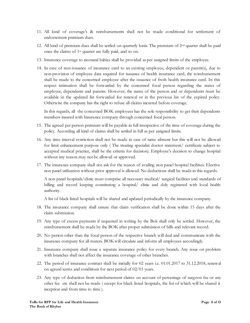- 11. All kind of coverage's & reimbursements shall not be made conditional for settlement of endorsement premium dues.
- 12. All kind of premium dues shall be settled on quarterly basis. The premium of  $2<sup>nd</sup>$  quarter shall be paid once the claims of 1st quarter are fully paid, and so on.
- 13. Insurance coverage to neonatal babies shall be provided as per assigned limits of the employee.
- 14. In case of non-issuance of insurance card to an existing employee, dependent or parent(s), due to non-provision of employee data required for issuance of health insurance card, the reimbursement shall be made to the concerned employee after the issuance of fresh health insurance card. In this respect intimation shall be forwarded by the concerned focal person regarding the status of employee, dependents and parents. However, the name of the person and or dependents must be available in the updated list forwarded for renewal or in the previous list of the expired policy. Otherwise the company has the right to refuse all claims incurred before coverage.

In this regards, all the concerned BOK employees has the sole responsibility to get their dependents members insured with Insurance company through concerned focal person.

- 15. The agreed per person premium will be payable in full irrespective of the time of coverage during the policy. According all kind of claims shall be settled in full as per assigned limits.
- 16. Any time interval restriction shall not be made in case of same ailment but this will not be allowed for limit enhancement purpose only ( The treating specialist doctor statement/ certificate subject to accepted medical practice, shall be the criteria for decision). Employee's decision to change hospital without any reason may not be allowed or approved.
- 17. The insurance company shall not ask for the reason of availing non panel hospital facilities. Elective non panel utilization without prior approval is allowed. No deductions shall be made in this regards.

A non panel hospitals/clinic must comprise all necessary medical/ surgical facilities and standards of billing and record keeping constituting a hospital/ clinic and duly registered with local health authority.

A list of black listed hospitals will be shared and updated periodically by the insurance company.

- 18. The insurance company shall ensure that claim verification shall be done within 15 days after the claim submission.
- 19. Any type of excess payments if requested in writing by the Bok shall only be settled. However, the reimbursement shall be made by the BOK after proper submission of bills and relevant record.
- 20. No person other than the focal person of the respective branch will deal and communicate with the insurance company for all maters. BOK will circulate and inform all employees accordingly.
- 21. Insurance company shall issue a separate insurance policy for every branch. Any issue on problem with branches shall not affect the insurance coverage of other branches.
- 22. The period of insurance contract shall be initially for 02 years i.e. 01.01.2017 to 31.12.2018, renewal on agreed terms and conditions for next period of 02/03 years.
- 23. Any type of deduction from reimbursement claims on account of percentage of surgeon fee or any other fee etc shall not be made ( except for black listed hospitals, the list of which will be shared it inception and from time to time ).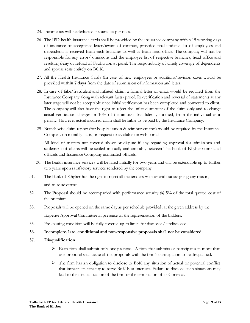- 24. Income tax will be deducted it source as per rules.
- 26. The IPD health insurance cards shall be provided by the insurance company within 15 working days of insurance of acceptance letter/award of contract, provided final updated list of employees and dependents is received from each branches as well as from head office. The company will not be responsible for any error/ omissions and the employee list of respective branches, head office and resulting delay or refusal of Facilitation at panel. The responsibility of timely coverage of dependents and spouse rests entirely on BOK.
- 27. All the Health Insurance Cards (In case of new employees or additions/revision cases would be provided **within 7 days** from the date of submission of information and letter.
- 28. In case of fake/fraudulent and inflated claim, a formal letter or email would be required from the Insurance Company along with relevant facts/proof. Re-verification and reversal of statements at any later stage will not be acceptable once initial verification has been completed and conveyed to client. The company will also have the right to reject the inflated amount of the claim only and to charge actual verification charges or 10% of the amount fraudulently claimed, from the individual as a penalty. However actual incurred claim shall be liable to be paid by the Insurance Company.
- 29. Branch wise claim report (for hospitalization & reimbursements) would be required by the Insurance Company on monthly basis, on request or available on web portal.

All kind of matters not covered above or dispute if any regarding approval for admissions and settlement of claims will be settled mutually and amicably between The Bank of Khyber nominated officials and Insurance Company nominated officials.

- 30. The health insurance services will be hired initially for two years and will be extendable up to further two years upon satisfactory services rendered by the company.
- 31. The Bank of Khyber has the right to reject all the tenders with or without assigning any reason, and to re-advertise.
- 32. The Proposal should be accompanied with performance security  $\hat{\omega}$  5% of the total quoted cost of the premium.
- 33. Proposals will be opened on the same day as per schedule provided, at the given address by the Expense Approval Committee in presence of the representation of the bidders.
- 35. Pre-existing condition will be fully covered up to limits for disclosed/ undisclosed.
- **36. Incomplete, late, conditional and non-responsive proposals shall not be considered.**
- **37. Disqualification**
	- $\triangleright$  Each firm shall submit only one proposal. A firm that submits or participates in more than one proposal shall cause all the proposals with the firm's participation to be disqualified.
	- $\triangleright$  The firm has an obligation to disclose to BoK any situation of actual or potential conflict that impacts its capacity to serve BoK best interests. Failure to disclose such situations may lead to the disqualification of the firm or the termination of its Contract.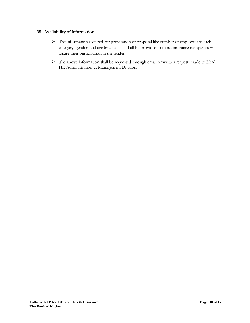#### **38. Availability of information**

- The information required for preparation of proposal like number of employees in each category, gender, and age brackets etc, shall be provided to those insurance companies who assure their participation in the tender.
- The above information shall be requested through email or written request, made to Head HR Administration & Management Division.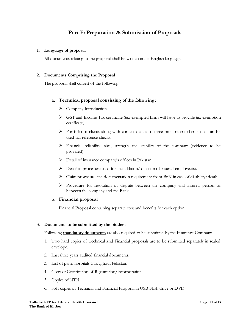### **Part F: Preparation & Submission of Proposals**

#### **1. Language of proposal**

All documents relating to the proposal shall be written in the English language.

#### **2. Documents Comprising the Proposal**

The proposal shall consist of the following:

#### **a. Technical proposal consisting of the following;**

- Company Introduction.
- $\triangleright$  GST and Income Tax certificate (tax exempted firms will have to provide tax exemption certificate).
- $\triangleright$  Portfolio of clients along with contact details of three most recent clients that can be used for reference checks.
- Financial reliability, size, strength and stability of the company (evidence to be provided).
- Detail of insurance company's offices in Pakistan.
- $\triangleright$  Detail of procedure used for the addition/ deletion of insured employee(s).
- $\triangleright$  Claim procedure and documentation requirement from BoK in case of disability/death.
- $\triangleright$  Procedure for resolution of dispute between the company and insured person or between the company and the Bank.

#### **b. Financial proposal**

Financial Proposal containing separate cost and benefits for each option.

#### 3. **Documents to be submitted by the bidders**

Following **mandatory documents** are also required to be submitted by the Insurance Company.

- 1. Two hard copies of Technical and Financial proposals are to be submitted separately in sealed envelope.
- 2. Last three years audited financial documents.
- 3. List of panel hospitals throughout Pakistan.
- 4. Copy of Certification of Registration/incorporation
- 5. Copies of NTN
- 6. Soft copies of Technical and Financial Proposal in USB Flash drive or DVD.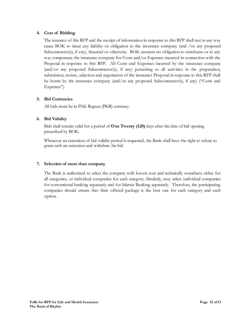#### **4. Cost of Bidding**

The issuance of this RFP and the receipt of information in response to this RFP shall not in any way cause BOK to incur any liability or obligation to the insurance company (and /or any proposed Subcontractor(s), if any), financial or otherwise. BOK assumes no obligation to reimburse or in any way compensate the insurance company for Costs and/or Expenses incurred in connection with the Proposal in response to this RFP. All Costs and Expenses incurred by the insurance company (and/or any proposed Subcontractor(s), if any) pertaining to all activities in the preparation, submission, review, selection and negotiation of the insurance Proposal in response to this RFP shall be borne by the insurance company (and/or any proposed Subcontractor(s), if any) ("Costs and Expenses").

#### **5. Bid Currencies**

All bids must be in PAK Rupees (PKR) currency.

#### **6. Bid Validity**

Bids shall remain valid for a period of **One Twenty (120)** days after the date of bid opening prescribed by BOK.

Whenever an extension of bid validity period is requested, the Bank shall have the right to refuse to grant such an extension and withdraw his bid.

#### **7. Selection of more than company**

The Bank is authorized to select the company with lowest cost and technically soundness either for all categories, or individual companies for each category. Similarly, may select individual companies for conventional banking separately and for Islamic Banking separately. Therefore, the participating companies should ensure that their offered package is the best one for each category and each option.